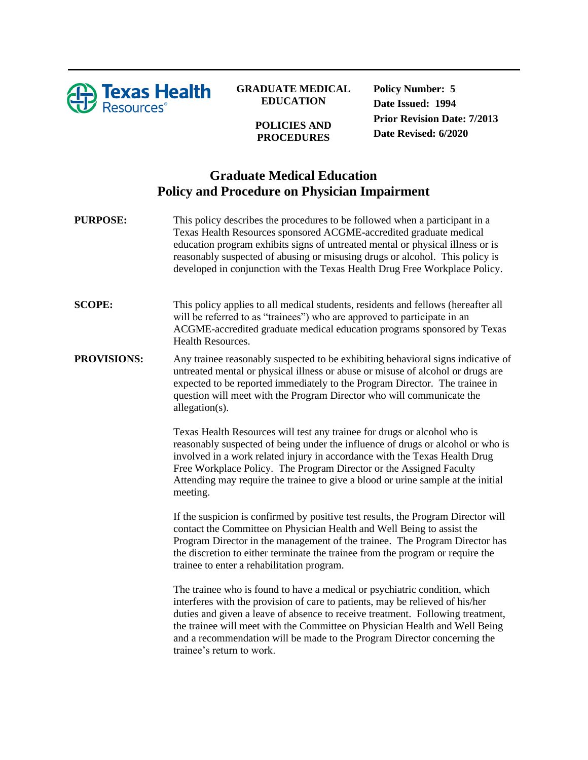

## **GRADUATE MEDICAL EDUCATION**

## **POLICIES AND PROCEDURES**

**Policy Number: 5 Date Issued: 1994 Prior Revision Date: 7/2013 Date Revised: 6/2020**

## **Graduate Medical Education Policy and Procedure on Physician Impairment**

**PURPOSE:** This policy describes the procedures to be followed when a participant in a Texas Health Resources sponsored ACGME-accredited graduate medical education program exhibits signs of untreated mental or physical illness or is reasonably suspected of abusing or misusing drugs or alcohol. This policy is developed in conjunction with the Texas Health Drug Free Workplace Policy.

**SCOPE:** This policy applies to all medical students, residents and fellows (hereafter all will be referred to as "trainees") who are approved to participate in an ACGME-accredited graduate medical education programs sponsored by Texas Health Resources.

**PROVISIONS:** Any trainee reasonably suspected to be exhibiting behavioral signs indicative of untreated mental or physical illness or abuse or misuse of alcohol or drugs are expected to be reported immediately to the Program Director. The trainee in question will meet with the Program Director who will communicate the allegation(s).

> Texas Health Resources will test any trainee for drugs or alcohol who is reasonably suspected of being under the influence of drugs or alcohol or who is involved in a work related injury in accordance with the Texas Health Drug Free Workplace Policy. The Program Director or the Assigned Faculty Attending may require the trainee to give a blood or urine sample at the initial meeting.

> If the suspicion is confirmed by positive test results, the Program Director will contact the Committee on Physician Health and Well Being to assist the Program Director in the management of the trainee. The Program Director has the discretion to either terminate the trainee from the program or require the trainee to enter a rehabilitation program.

> The trainee who is found to have a medical or psychiatric condition, which interferes with the provision of care to patients, may be relieved of his/her duties and given a leave of absence to receive treatment. Following treatment, the trainee will meet with the Committee on Physician Health and Well Being and a recommendation will be made to the Program Director concerning the trainee's return to work.